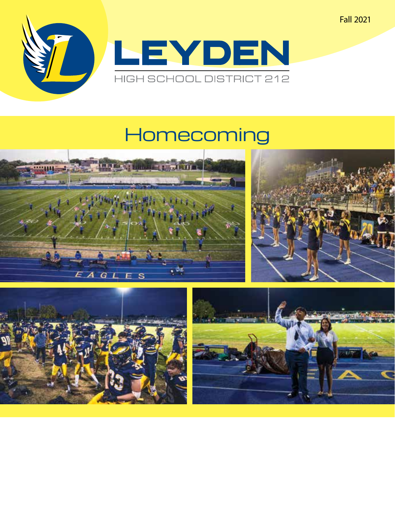Fall 2021



# Homecoming







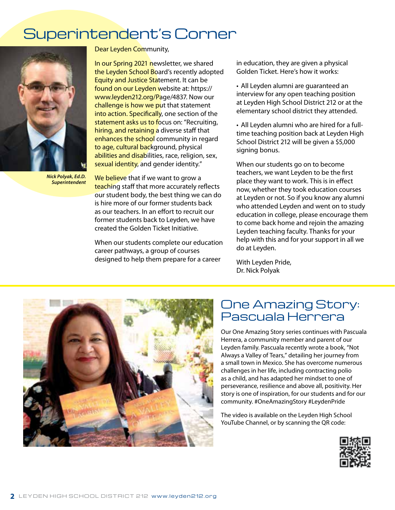# Superintendent's Corner



*Nick Polyak, Ed.D. Superintendent*

Dear Leyden Community,

In our Spring 2021 newsletter, we shared the Leyden School Board's recently adopted **Equity and Justice Statement. It can be** found on our Leyden website at: https:// www.leyden212.org/Page/4837. Now our challenge is how we put that statement into action. Specifically, one section of the statement asks us to focus on: "Recruiting, hiring, and retaining a diverse staff that enhances the school community in regard to age, cultural background, physical abilities and disabilities, race, religion, sex, sexual identity, and gender identity."

We believe that if we want to grow a teaching staff that more accurately reflects our student body, the best thing we can do is hire more of our former students back as our teachers. In an effort to recruit our former students back to Leyden, we have created the Golden Ticket Initiative.

When our students complete our education career pathways, a group of courses designed to help them prepare for a career

in education, they are given a physical Golden Ticket. Here's how it works:

• All Leyden alumni are guaranteed an interview for any open teaching position at Leyden High School District 212 or at the elementary school district they attended.

• All Leyden alumni who are hired for a fulltime teaching position back at Leyden High School District 212 will be given a \$5,000 signing bonus.

When our students go on to become teachers, we want Leyden to be the first place they want to work. This is in effect now, whether they took education courses at Leyden or not. So if you know any alumni who attended Leyden and went on to study education in college, please encourage them to come back home and rejoin the amazing Leyden teaching faculty. Thanks for your help with this and for your support in all we do at Leyden.

With Leyden Pride, Dr. Nick Polyak



### One Amazing Story: Pascuala Herrera

Our One Amazing Story series continues with Pascuala Herrera, a community member and parent of our Leyden family. Pascuala recently wrote a book, "Not Always a Valley of Tears," detailing her journey from a small town in Mexico. She has overcome numerous challenges in her life, including contracting polio as a child, and has adapted her mindset to one of perseverance, resilience and above all, positivity. Her story is one of inspiration, for our students and for our community. #OneAmazingStory #LeydenPride

The video is available on the Leyden High School YouTube Channel, or by scanning the QR code:

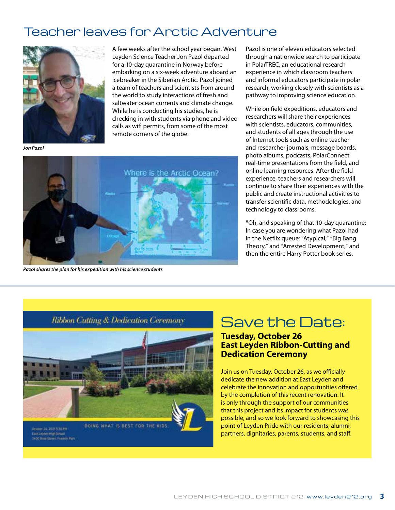## Teacher leaves for Arctic Adventure



A few weeks after the school year began, West Leyden Science Teacher Jon Pazol departed for a 10-day quarantine in Norway before embarking on a six-week adventure aboard an icebreaker in the Siberian Arctic. Pazol joined a team of teachers and scientists from around the world to study interactions of fresh and saltwater ocean currents and climate change. While he is conducting his studies, he is checking in with students via phone and video calls as wifi permits, from some of the most remote corners of the globe.

*Jon Pazol*



*Pazol shares the plan for his expedition with his science students* 

Pazol is one of eleven educators selected through a nationwide search to participate in PolarTREC, an educational research experience in which classroom teachers and informal educators participate in polar research, working closely with scientists as a pathway to improving science education.

While on field expeditions, educators and researchers will share their experiences with scientists, educators, communities, and students of all ages through the use of Internet tools such as online teacher and researcher journals, message boards, photo albums, podcasts, PolarConnect real-time presentations from the field, and online learning resources. After the field experience, teachers and researchers will continue to share their experiences with the public and create instructional activities to transfer scientific data, methodologies, and technology to classrooms.

\*Oh, and speaking of that 10-day quarantine: In case you are wondering what Pazol had in the Netflix queue: "Atypical," "Big Bang Theory," and "Arrested Development," and then the entire Harry Potter book series.



# Ribbon Cutting & Dedication Ceremony Save the Date:

### **Tuesday, October 26 East Leyden Ribbon-Cutting and Dedication Ceremony**

Join us on Tuesday, October 26, as we officially dedicate the new addition at East Leyden and celebrate the innovation and opportunities offered by the completion of this recent renovation. It is only through the support of our communities that this project and its impact for students was possible, and so we look forward to showcasing this point of Leyden Pride with our residents, alumni, partners, dignitaries, parents, students, and staff.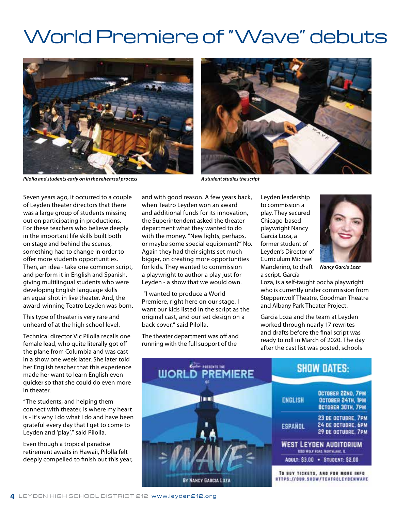# World Premiere of "Wave" debuts



*Pilolla and students early on in the rehearsal process* A student studies the script *A student studies the script* 



Seven years ago, it occurred to a couple of Leyden theater directors that there was a large group of students missing out on participating in productions. For these teachers who believe deeply in the important life skills built both on stage and behind the scenes, something had to change in order to offer more students opportunities. Then, an idea - take one common script, and perform it in English and Spanish, giving multilingual students who were developing English language skills an equal shot in live theater. And, the award-winning Teatro Leyden was born.

This type of theater is very rare and unheard of at the high school level.

Technical director Vic Pilolla recalls one female lead, who quite literally got off the plane from Columbia and was cast in a show one week later. She later told her English teacher that this experience made her want to learn English even quicker so that she could do even more in theater.

"The students, and helping them connect with theater, is where my heart is - it's why I do what I do and have been grateful every day that I get to come to Leyden and 'play'," said Pilolla.

Even though a tropical paradise retirement awaits in Hawaii, Pilolla felt deeply compelled to finish out this year, and with good reason. A few years back, when Teatro Leyden won an award and additional funds for its innovation, the Superintendent asked the theater department what they wanted to do with the money. "New lights, perhaps, or maybe some special equipment?" No. Again they had their sights set much bigger, on creating more opportunities for kids. They wanted to commission a playwright to author a play just for Leyden - a show that we would own.

 "I wanted to produce a World Premiere, right here on our stage. I want our kids listed in the script as the original cast, and our set design on a back cover," said Pilolla.

The theater department was off and running with the full support of the

Leyden leadership to commission a play. They secured Chicago-based playwright Nancy Garcia Loza, a former student of Leyden's Director of Curriculum Michael Manderino, to draft *Nancy Garcia Loza* a script. García



Loza, is a self-taught pocha playwright who is currently under commission from Steppenwolf Theatre, Goodman Theatre and Albany Park Theater Project.

Garcia Loza and the team at Leyden worked through nearly 17 rewrites and drafts before the final script was ready to roll in March of 2020. The day after the cast list was posted, schools

| <b>WORLD PREMIERE</b> | <b>SHOW DATES:</b>                                                               |
|-----------------------|----------------------------------------------------------------------------------|
| اسا                   | OCTOBER 22ND, 7PM<br><b>ENGLISH</b><br>OCTOBER 24TH, IPM<br>OCTOBER 30TH, 7PM    |
|                       | 23 DE OCTUBRE, 7PM<br>24 DE OCTUBRE, 6PM<br><b>ESPANOL</b><br>29 DE OCTUBRE, 7PM |
|                       | <b>WEST LEYDEN AUDITORIUM</b><br>1000 MOLF ROAD, MORTHLANE, IL                   |
|                       | ADULT: \$3.00 . STUDENT: \$2.00                                                  |
| BY NANCY GARCIA LOZA  | TO BUY TICKETS, AND FOR MORE INFO<br><b>MTTPS://OUR.SHOW/TEATAOLEYDE</b>         |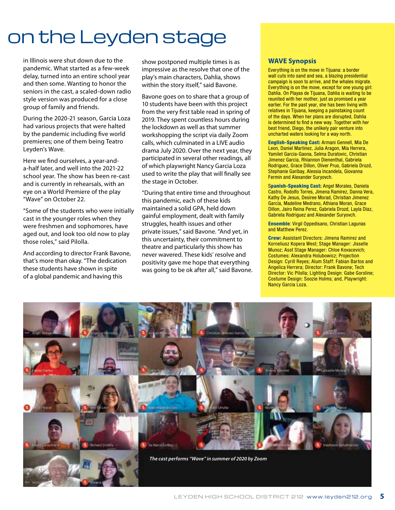# on the Leyden stage

in Illinois were shut down due to the pandemic. What started as a few-week delay, turned into an entire school year and then some. Wanting to honor the seniors in the cast, a scaled-down radio style version was produced for a close group of family and friends.

During the 2020-21 season, Garcia Loza had various projects that were halted by the pandemic including five world premieres; one of them being Teatro Leyden's Wave.

Here we find ourselves, a year-anda-half later, and well into the 2021-22 school year. The show has been re-cast and is currently in rehearsals, with an eye on a World Premiere of the play "Wave" on October 22.

"Some of the students who were initially cast in the younger roles when they were freshmen and sophomores, have aged out, and look too old now to play those roles," said Pilolla.

And according to director Frank Bavone, that's more than okay. "The dedication these students have shown in spite of a global pandemic and having this

show postponed multiple times is as impressive as the resolve that one of the play's main characters, Dahlia, shows within the story itself," said Bavone.

Bavone goes on to share that a group of 10 students have been with this project from the very first table read in spring of 2019. They spent countless hours during the lockdown as well as that summer workshopping the script via daily Zoom calls, which culminated in a LIVE audio drama July 2020. Over the next year, they participated in several other readings, all of which playwright Nancy Garcia Loza used to write the play that will finally see the stage in October.

"During that entire time and throughout this pandemic, each of these kids maintained a solid GPA, held down gainful employment, dealt with family struggles, health issues and other private issues," said Bavone. "And yet, in this uncertainty, their commitment to theatre and particularly this show has never wavered. These kids' resolve and positivity gave me hope that everything was going to be ok after all," said Bavone.

#### **WAVE Synopsis**

Everything is on the move in Tijuana: a border wall cuts into sand and sea, a blazing presidential campaign is soon to arrive, and the whales migrate. Everything is on the move, except for one young girl: Dahlia. On Playas de Tijuana, Dahlia is waiting to be reunited with her mother, just as promised a year earlier. For the past year, she has been living with relatives in Tijuana, keeping a painstaking count of the days. When her plans are disrupted, Dahlia is determined to find a new way. Together with her best friend, Diego, the unlikely pair venture into uncharted waters looking for a way north.

English-Speaking Cast: Armani Gennell, Mia De Leon, Daniel Martinez, Julia Aragon, Mia Herrera, Yamilet Garcia-Gaona, Selma Duratovic, Christian Jimenez Garcia, Rhiannon Dienenthal, Gabriela Rodriguez, Grace Dillon, Oliver Prus, Gabriela Drozd, Stephanie Garibay, Alessia Incandela, Giovanna Fermin and Alexander Suryovch.

Spanish-Speaking Cast: Angel Morales, Daniela Castro, Rodolfo Torres, Jimena Ramirez, Danna Vera, Kathy De Jesus, Desiree Morad, Christian Jimenez Garcia, Madeline Medrano, Athiana Moran, Grace Dillon, Jairo Reina Perez, Gabriela Drozd, Layla Diaz, Gabriela Rodriguez and Alexander Suryovch.

Ensemble: Virgil Oppedisano, Christian Lagunas and Matthew Perez.

Crew: Assistant Directors: Jimena Ramirez and Korneliusz Kopera West; Stage Manager: Jisselle Munoz; Asst Stage Manager: Chloe Kovacevich; Costumes: Alexandra Holubowicz; Projection Design: Cyrill Reyes; Alum Staff: Fabian Bartos and Angelica Herrera; Director: Frank Bavone; Tech Director: Vic Pilolla; Lighting Design: Gabe Gorsline; Costume Design: Soozie Holms; and, Playwright: Nancy Garcia Loza.